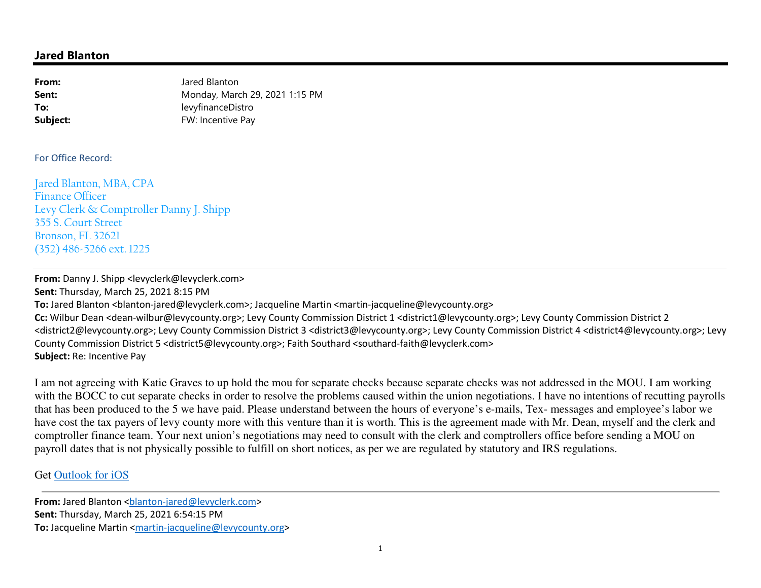# **Jared Blanton**

| From:    | Jared Blanton                  |
|----------|--------------------------------|
| Sent:    | Monday, March 29, 2021 1:15 PM |
| To:      | levyfinanceDistro              |
| Subject: | FW: Incentive Pay              |

#### For Office Record:

Jared Blanton, MBA, CPA Finance Officer Levy Clerk & Comptroller Danny J. Shipp 355 S. Court Street Bronson, FL 32621 (352) 486-5266 ext. 1225

### **From:** Danny J. Shipp <levyclerk@levyclerk.com>

**Sent:** Thursday, March 25, 2021 8:15 PM To: Jared Blanton <br />blanton-jared@levyclerk.com>; Jacqueline Martin <martin-jacqueline@levycounty.org> **Cc:** Wilbur Dean <dean-wilbur@levycounty.org>; Levy County Commission District 1 <district1@levycounty.org>; Levy County Commission District 2 <district2@levycounty.org>; Levy County Commission District 3 <district3@levycounty.org>; Levy County Commission District 4 <district4@levycounty.org>; Levy County Commission District 5 <district5@levycounty.org>; Faith Southard <southard-faith@levyclerk.com>**Subject:** Re: Incentive Pay

I am not agreeing with Katie Graves to up hold the mou for separate checks because separate checks was not addressed in the MOU. I am working with the BOCC to cut separate checks in order to resolve the problems caused within the union negotiations. I have no intentions of recutting payrolls that has been produced to the 5 we have paid. Please understand between the hours of everyone's e-mails, Tex- messages and employee's labor we have cost the tax payers of levy county more with this venture than it is worth. This is the agreement made with Mr. Dean, myself and the clerk and comptroller finance team. Your next union's negotiations may need to consult with the clerk and comptrollers office before sending a MOU on payroll dates that is not physically possible to fulfill on short notices, as per we are regulated by statutory and IRS regulations.

# Get Outlook for iOS

**From:** Jared Blanton <br/>blanton-jared@levyclerk.com> **Sent:** Thursday, March 25, 2021 6:54:15 PM **To:** Jacqueline Martin <martin-jacqueline@levycounty.org>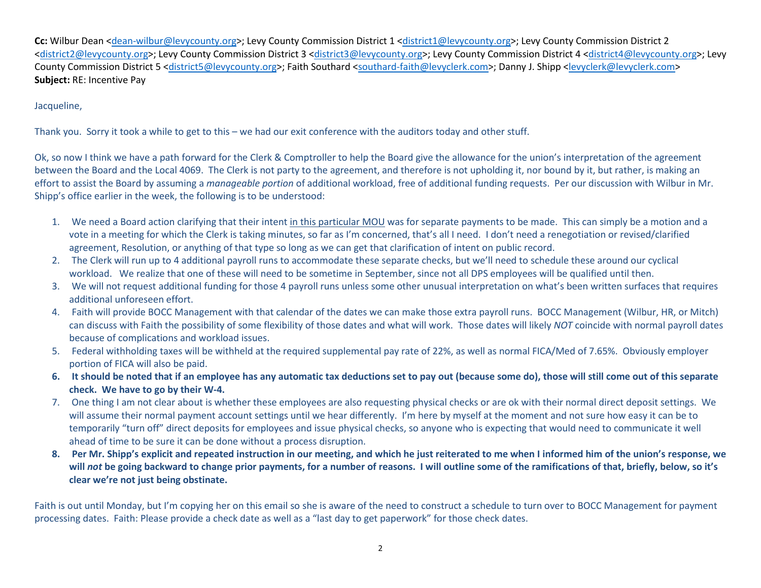**Cc:** Wilbur Dean <dean-wilbur@levycounty.org>; Levy County Commission District 1 <district1@levycounty.org>; Levy County Commission District 2 <district2@levycounty.org>; Levy County Commission District 3 <district3@levycounty.org>; Levy County Commission District 4 <district4@levycounty.org>; Levy County Commission District 5 <district5@levycounty.org>; Faith Southard <southard-faith@levyclerk.com>; Danny J. Shipp <levyclerk@levyclerk.com> **Subject:** RE: Incentive Pay

### Jacqueline,

Thank you. Sorry it took a while to get to this – we had our exit conference with the auditors today and other stuff.

Ok, so now I think we have a path forward for the Clerk & Comptroller to help the Board give the allowance for the union's interpretation of the agreement between the Board and the Local 4069. The Clerk is not party to the agreement, and therefore is not upholding it, nor bound by it, but rather, is making an effort to assist the Board by assuming a *manageable portion* of additional workload, free of additional funding requests. Per our discussion with Wilbur in Mr. Shipp's office earlier in the week, the following is to be understood:

- 1. We need a Board action clarifying that their intent <u>in this particular MOU</u> was for separate payments to be made. This can simply be a motion and a vote in a meeting for which the Clerk is taking minutes, so far as I'm concerned, that's all I need. I don't need a renegotiation or revised/clarified agreement, Resolution, or anything of that type so long as we can get that clarification of intent on public record.
- 2. The Clerk will run up to 4 additional payroll runs to accommodate these separate checks, but we'll need to schedule these around our cyclical workload. We realize that one of these will need to be sometime in September, since not all DPS employees will be qualified until then.
- 3. We will not request additional funding for those 4 payroll runs unless some other unusual interpretation on what's been written surfaces that requires additional unforeseen effort.
- 4. Faith will provide BOCC Management with that calendar of the dates we can make those extra payroll runs. BOCC Management (Wilbur, HR, or Mitch) can discuss with Faith the possibility of some flexibility of those dates and what will work. Those dates will likely *NOT* coincide with normal payroll dates because of complications and workload issues.
- 5. Federal withholding taxes will be withheld at the required supplemental pay rate of 22%, as well as normal FICA/Med of 7.65%. Obviously employer portion of FICA will also be paid.
- **6. It should be noted that if an employee has any automatic tax deductions set to pay out (because some do), those will still come out of this separate check. We have to go by their W-4.**
- 7. One thing I am not clear about is whether these employees are also requesting physical checks or are ok with their normal direct deposit settings. We will assume their normal payment account settings until we hear differently. I'm here by myself at the moment and not sure how easy it can be to temporarily "turn off" direct deposits for employees and issue physical checks, so anyone who is expecting that would need to communicate it well ahead of time to be sure it can be done without a process disruption.
- **8. Per Mr. Shipp's explicit and repeated instruction in our meeting, and which he just reiterated to me when I informed him of the union's response, we will** *not* **be going backward to change prior payments, for a number of reasons. I will outline some of the ramifications of that, briefly, below, so it's clear we're not just being obstinate.**

Faith is out until Monday, but I'm copying her on this email so she is aware of the need to construct a schedule to turn over to BOCC Management for payment processing dates. Faith: Please provide a check date as well as a "last day to get paperwork" for those check dates.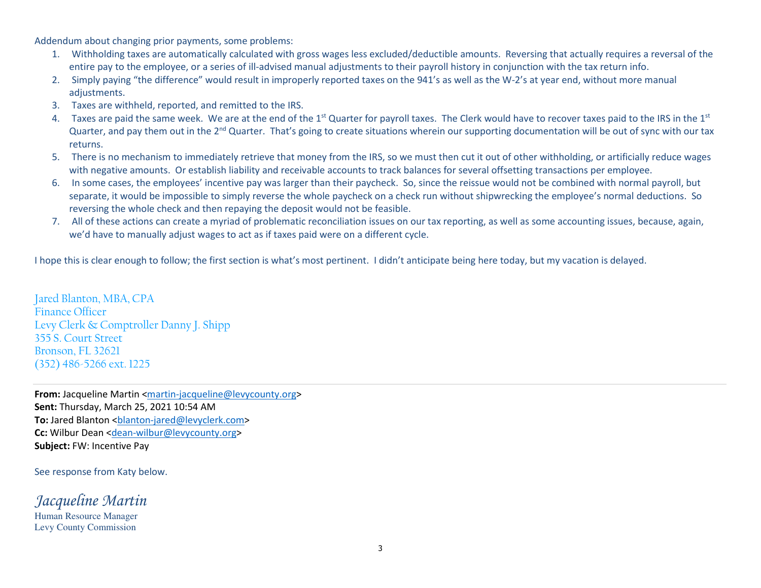Addendum about changing prior payments, some problems:

- 1. Withholding taxes are automatically calculated with gross wages less excluded/deductible amounts. Reversing that actually requires a reversal of the entire pay to the employee, or a series of ill-advised manual adjustments to their payroll history in conjunction with the tax return info.
- 2. Simply paying "the difference" would result in improperly reported taxes on the 941's as well as the W-2's at year end, without more manual adjustments.
- 3. Taxes are withheld, reported, and remitted to the IRS.
- 4. Taxes are paid the same week. We are at the end of the 1<sup>st</sup> Quarter for payroll taxes. The Clerk would have to recover taxes paid to the IRS in the 1<sup>st</sup> Quarter, and pay them out in the 2<sup>nd</sup> Quarter. That's going to create situations wherein our supporting documentation will be out of sync with our tax returns.
- 5. There is no mechanism to immediately retrieve that money from the IRS, so we must then cut it out of other withholding, or artificially reduce wages with negative amounts. Or establish liability and receivable accounts to track balances for several offsetting transactions per employee.
- 6. In some cases, the employees' incentive pay was larger than their paycheck. So, since the reissue would not be combined with normal payroll, but separate, it would be impossible to simply reverse the whole paycheck on a check run without shipwrecking the employee's normal deductions. So reversing the whole check and then repaying the deposit would not be feasible.
- 7. All of these actions can create a myriad of problematic reconciliation issues on our tax reporting, as well as some accounting issues, because, again, we'd have to manually adjust wages to act as if taxes paid were on a different cycle.

I hope this is clear enough to follow; the first section is what's most pertinent. I didn't anticipate being here today, but my vacation is delayed.

Jared Blanton, MBA, CPAFinance Officer Levy Clerk & Comptroller Danny J. Shipp355 S. Court Street Bronson, FL 32621(352) 486-5266 ext. 1225

**From:** Jacqueline Martin <**martin-jacqueline@levycounty.org> Sent:** Thursday, March 25, 2021 10:54 AM To: Jared Blanton <br />blanton-jared@levyclerk.com> **Cc:** Wilbur Dean <dean-wilbur@levycounty.org> **Subject:** FW: Incentive Pay

See response from Katy below.

*Jacqueline Martin*Human Resource Manager

Levy County Commission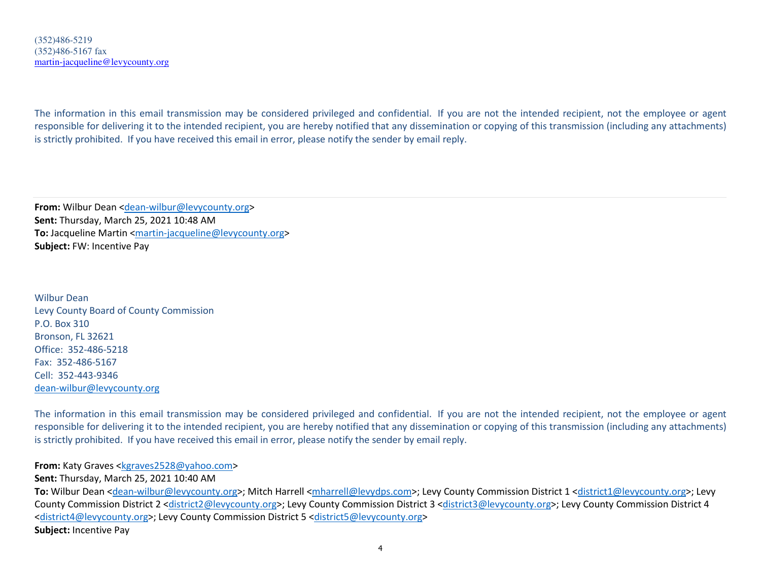The information in this email transmission may be considered privileged and confidential. If you are not the intended recipient, not the employee or agent responsible for delivering it to the intended recipient, you are hereby notified that any dissemination or copying of this transmission (including any attachments) is strictly prohibited. If you have received this email in error, please notify the sender by email reply.

**From:** Wilbur Dean <dean-wilbur@levycounty.org> **Sent:** Thursday, March 25, 2021 10:48 AM **To:** Jacqueline Martin <martin-jacqueline@levycounty.org> **Subject:** FW: Incentive Pay

Wilbur Dean Levy County Board of County CommissionP.O. Box 310 Bronson, FL 32621 Office: 352-486-5218Fax: 352-486-5167 Cell: 352-443-9346dean-wilbur@levycounty.org

The information in this email transmission may be considered privileged and confidential. If you are not the intended recipient, not the employee or agent responsible for delivering it to the intended recipient, you are hereby notified that any dissemination or copying of this transmission (including any attachments) is strictly prohibited. If you have received this email in error, please notify the sender by email reply.

**From:** Katy Graves <kgraves2528@yahoo.com>

**Sent:** Thursday, March 25, 2021 10:40 AM

**To:** Wilbur Dean <dean-wilbur@levycounty.org>; Mitch Harrell <mharrell@levydps.com>; Levy County Commission District 1 <district1@levycounty.org>; Levy County Commission District 2 <district2@levycounty.org>; Levy County Commission District 3 <district3@levycounty.org>; Levy County Commission District 4 <district4@levycounty.org>; Levy County Commission District 5 <district5@levycounty.org> **Subject:** Incentive Pay